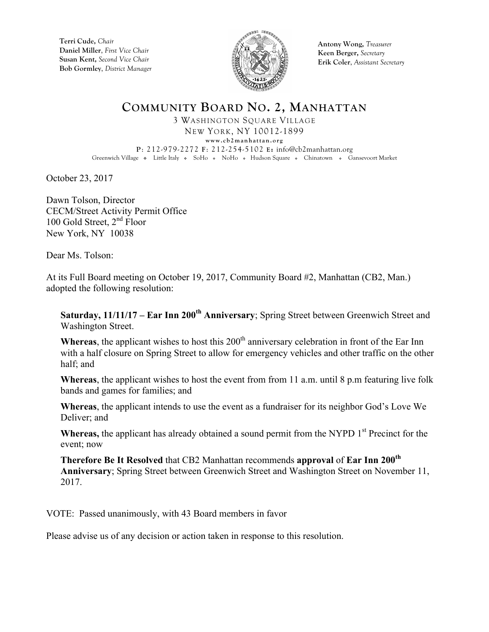**Terri Cude,** *Chair* **Daniel Miller**, *First Vice Chair* **Susan Kent,** *Second Vice Chair* **Bob Gormley**, *District Manager*



**Antony Wong,** *Treasurer* **Keen Berger,** *Secretary* **Erik Coler**, *Assistant Secretary*

## **COMMUNITY BOARD NO. 2, MANHATTAN**

3 WASHINGTON SQUARE VILLAGE NEW YORK, NY 10012-1899 **www.cb2manhattan.org P**: 212-979-2272 **F**: 212-254-5102 **E:** info@cb2manhattan.org Greenwich Village . Little Italy . SoHo . NoHo . Hudson Square . Chinatown . Gansevoort Market

October 23, 2017

Dawn Tolson, Director CECM/Street Activity Permit Office 100 Gold Street,  $2<sup>nd</sup>$  Floor New York, NY 10038

Dear Ms. Tolson:

At its Full Board meeting on October 19, 2017, Community Board #2, Manhattan (CB2, Man.) adopted the following resolution:

**Saturday, 11/11/17 – Ear Inn 200<sup>th</sup> Anniversary**; Spring Street between Greenwich Street and Washington Street.

Whereas, the applicant wishes to host this 200<sup>th</sup> anniversary celebration in front of the Ear Inn with a half closure on Spring Street to allow for emergency vehicles and other traffic on the other half; and

**Whereas**, the applicant wishes to host the event from from 11 a.m. until 8 p.m featuring live folk bands and games for families; and

**Whereas**, the applicant intends to use the event as a fundraiser for its neighbor God's Love We Deliver; and

**Whereas,** the applicant has already obtained a sound permit from the NYPD 1<sup>st</sup> Precinct for the event; now

**Therefore Be It Resolved** that CB2 Manhattan recommends **approval** of **Ear Inn 200th Anniversary**; Spring Street between Greenwich Street and Washington Street on November 11, 2017.

VOTE: Passed unanimously, with 43 Board members in favor

Please advise us of any decision or action taken in response to this resolution.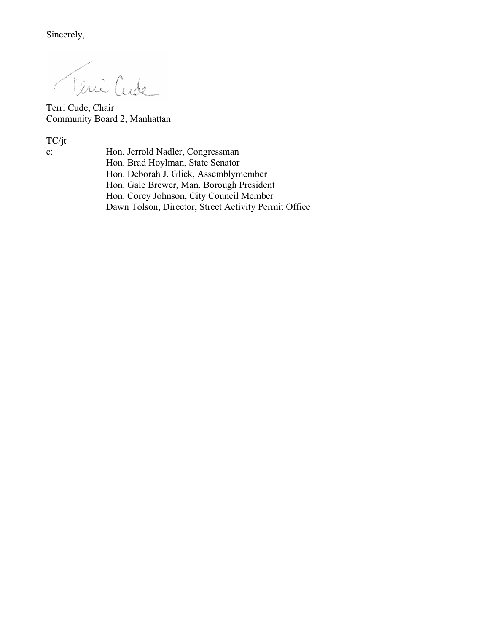Sincerely,

Teni Cude Ĉ.

Terri Cude, Chair Community Board 2, Manhattan

TC/jt<br>c:

Hon. Jerrold Nadler, Congressman Hon. Brad Hoylman, State Senator Hon. Deborah J. Glick, Assemblymember Hon. Gale Brewer, Man. Borough President Hon. Corey Johnson, City Council Member Dawn Tolson, Director, Street Activity Permit Office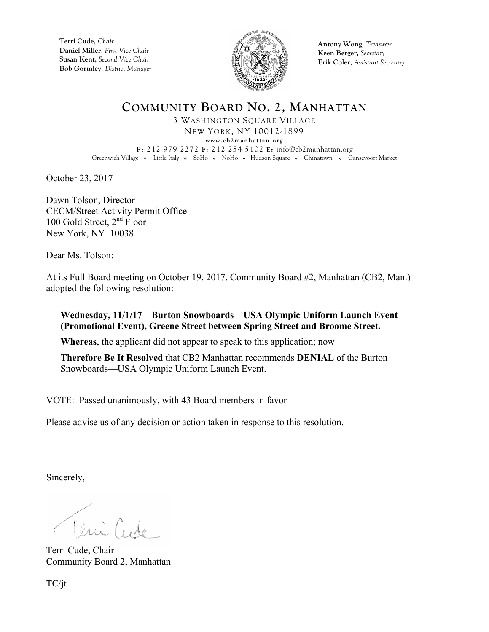**Terri Cude,** *Chair* **Daniel Miller**, *First Vice Chair* **Susan Kent,** *Second Vice Chair* **Bob Gormley**, *District Manager*



**Antony Wong,** *Treasurer* **Keen Berger,** *Secretary* **Erik Coler**, *Assistant Secretary*

## **COMMUNITY BOARD NO. 2, MANHATTAN**

3 WASHINGTON SQUARE VILLAGE NEW YORK, NY 10012-1899 **www.cb2manhattan.org P**: 212-979-2272 **F**: 212-254-5102 **E:** info@cb2manhattan.org Greenwich Village . Little Italy . SoHo . NoHo . Hudson Square . Chinatown . Gansevoort Market

October 23, 2017

Dawn Tolson, Director CECM/Street Activity Permit Office 100 Gold Street,  $2<sup>nd</sup>$  Floor New York, NY 10038

Dear Ms. Tolson:

At its Full Board meeting on October 19, 2017, Community Board #2, Manhattan (CB2, Man.) adopted the following resolution:

## **Wednesday, 11/1/17 – Burton Snowboards—USA Olympic Uniform Launch Event (Promotional Event), Greene Street between Spring Street and Broome Street.**

**Whereas**, the applicant did not appear to speak to this application; now

**Therefore Be It Resolved** that CB2 Manhattan recommends **DENIAL** of the Burton Snowboards—USA Olympic Uniform Launch Event.

VOTE: Passed unanimously, with 43 Board members in favor

Please advise us of any decision or action taken in response to this resolution.

Sincerely,

Veni Cude

Terri Cude, Chair Community Board 2, Manhattan

TC/jt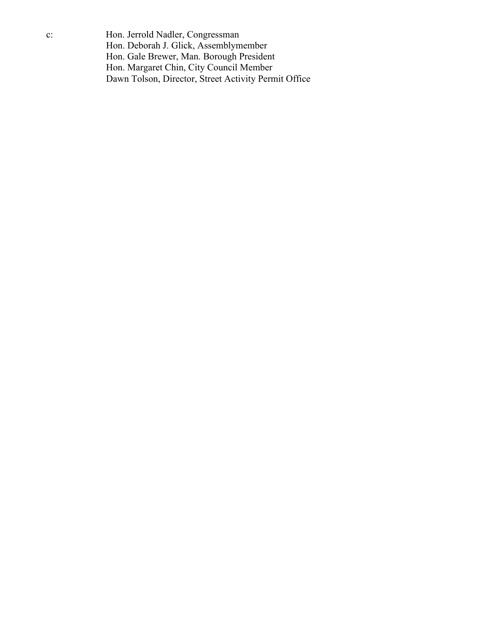c: Hon. Jerrold Nadler, Congressman Hon. Deborah J. Glick, Assemblymember Hon. Gale Brewer, Man. Borough President Hon. Margaret Chin, City Council Member Dawn Tolson, Director, Street Activity Permit Office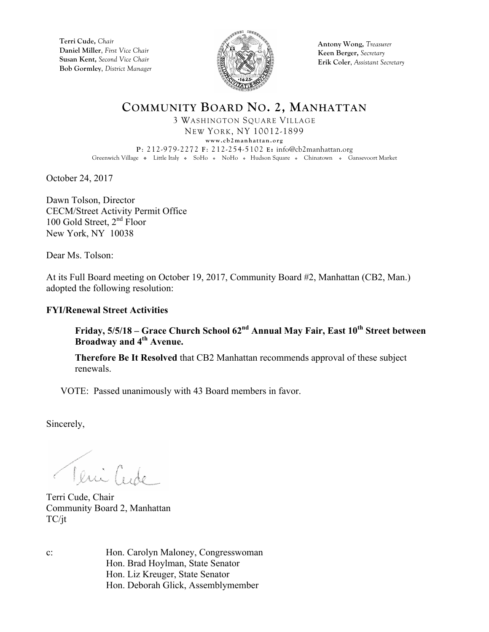**Terri Cude,** *Chair* **Daniel Miller**, *First Vice Chair* **Susan Kent,** *Second Vice Chair* **Bob Gormley**, *District Manager*



**Antony Wong,** *Treasurer* **Keen Berger,** *Secretary* **Erik Coler**, *Assistant Secretary*

**COMMUNITY BOARD NO. 2, MANHATTAN** 3 WASHINGTON SQUARE VILLAGE NEW YORK, NY 10012-1899

**www.cb2manhattan.org P**: 212-979-2272 **F**: 212-254-5102 **E:** info@cb2manhattan.org Greenwich Village . Little Italy . SoHo . NoHo . Hudson Square . Chinatown . Gansevoort Market

October 24, 2017

Dawn Tolson, Director CECM/Street Activity Permit Office 100 Gold Street, 2<sup>nd</sup> Floor New York, NY 10038

Dear Ms. Tolson:

At its Full Board meeting on October 19, 2017, Community Board #2, Manhattan (CB2, Man.) adopted the following resolution:

## **FYI/Renewal Street Activities**

**Friday, 5/5/18 – Grace Church School 62nd Annual May Fair, East 10th Street between Broadway and 4th Avenue.**

**Therefore Be It Resolved** that CB2 Manhattan recommends approval of these subject renewals.

VOTE: Passed unanimously with 43 Board members in favor.

Sincerely,

Teni Cride

Terri Cude, Chair Community Board 2, Manhattan TC/jt

c: Hon. Carolyn Maloney, Congresswoman Hon. Brad Hoylman, State Senator Hon. Liz Kreuger, State Senator Hon. Deborah Glick, Assemblymember